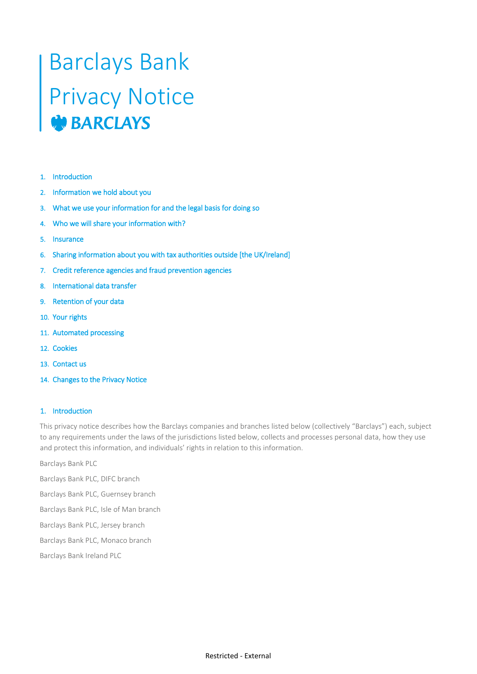# Barclays Bank Privacy Notice

- 1. Introduction
- 2. Information we hold about you
- 3. What we use your information for and the legal basis for doing so
- 4. Who we will share your information with?
- 5. Insurance
- 6. Sharing information about you with tax authorities outside [the UK/Ireland]
- 7. Credit reference agencies and fraud prevention agencies
- 8. International data transfer
- 9. Retention of your data
- 10. Your rights
- 11. Automated processing
- 12. Cookies
- 13. Contact us
- 14. Changes to the Privacy Notice

#### 1. Introduction

This privacy notice describes how the Barclays companies and branches listed below (collectively "Barclays") each, subject to any requirements under the laws of the jurisdictions listed below, collects and processes personal data, how they use and protect this information, and individuals' rights in relation to this information.

Barclays Bank PLC

Barclays Bank PLC, DIFC branch

Barclays Bank PLC, Guernsey branch

Barclays Bank PLC, Isle of Man branch

Barclays Bank PLC, Jersey branch

Barclays Bank PLC, Monaco branch

Barclays Bank Ireland PLC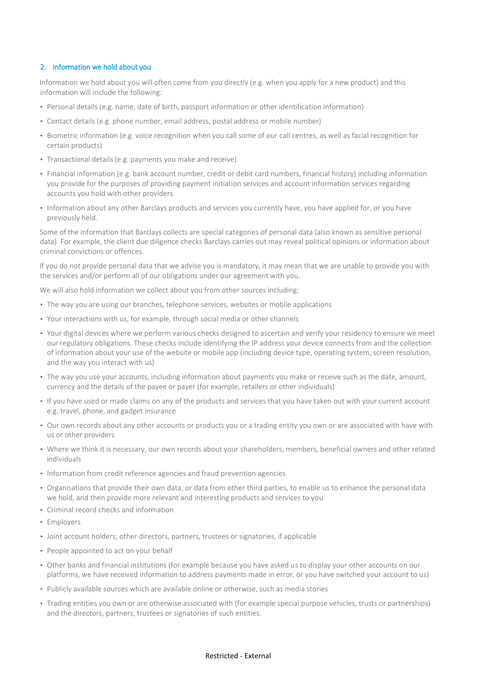## 2. Information we hold about you

Information we hold about you will often come from you directly (e.g. when you apply for a new product) and this information will include the following:

- Personal details (e.g. name, date of birth, passport information or other identification information)
- Contact details (e.g. phone number, email address, postal address or mobile number)
- Biometric information (e.g. voice recognition when you call some of our call centres, as well as facial recognition for certain products)
- Transactional details (e.g. payments you make and receive)
- Financial information (e.g. bank account number, credit or debit card numbers, financial history) including information you provide for the purposes of providing payment initiation services and account information services regarding accounts you hold with other providers
- Information about any other Barclays products and services you currently have, you have applied for, or you have previously held.

Some of the information that Barclays collects are special categories of personal data (also known as sensitive personal data). For example, the client due diligence checks Barclays carries out may reveal political opinions or information about criminal convictions or offences.

If you do not provide personal data that we advise you is mandatory, it may mean that we are unable to provide you with the services and/or perform all of our obligations under our agreement with you.

We will also hold information we collect about you from other sources including:

- The way you are using our branches, telephone services, websites or mobile applications
- Your interactions with us, for example, through social media or other channels
- Your digital devices where we perform various checks designed to ascertain and verify your residency to ensure we meet our regulatory obligations. These checks include identifying the IP address your device connects from and the collection of information about your use of the website or mobile app (including device type, operating system, screen resolution, and the way you interact with us)
- The way you use your accounts, including information about payments you make or receive such as the date, amount, currency and the details of the payee or payer (for example, retailers or other individuals)
- If you have used or made claims on any of the products and services that you have taken out with your current account e.g. travel, phone, and gadget insurance
- Our own records about any other accounts or products you or a trading entity you own or are associated with have with us or other providers
- Where we think it is necessary, our own records about your shareholders, members, beneficial owners and other related individuals
- Information from credit reference agencies and fraud prevention agencies
- Organisations that provide their own data, or data from other third parties, to enable us to enhance the personal data we hold, and then provide more relevant and interesting products and services to you
- Criminal record checks and information
- Employers
- Joint account holders; other directors, partners, trustees or signatories, if applicable
- People appointed to act on your behalf
- Other banks and financial institutions (for example because you have asked us to display your other accounts on our platforms, we have received information to address payments made in error, or you have switched your account to us)
- Publicly available sources which are available online or otherwise, such as media stories
- Trading entities you own or are otherwise associated with (for example special purpose vehicles, trusts or partnerships) and the directors, partners, trustees or signatories of such entities.

#### Restricted - External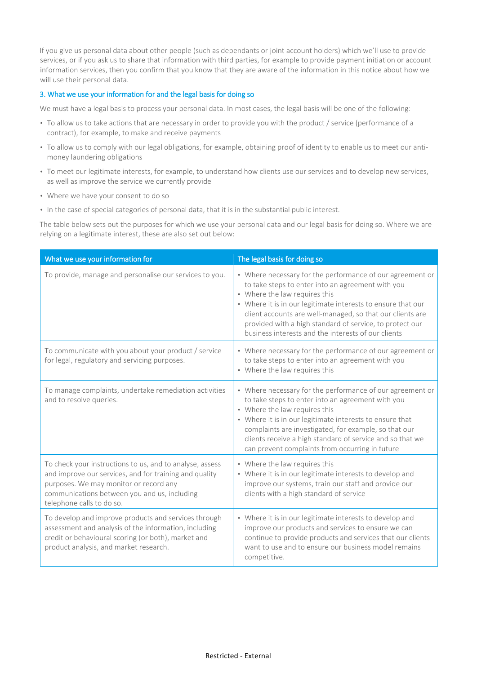If you give us personal data about other people (such as dependants or joint account holders) which we'll use to provide services, or if you ask us to share that information with third parties, for example to provide payment initiation or account information services, then you confirm that you know that they are aware of the information in this notice about how we will use their personal data.

## 3. What we use your information for and the legal basis for doing so

We must have a legal basis to process your personal data. In most cases, the legal basis will be one of the following:

- To allow us to take actions that are necessary in order to provide you with the product / service (performance of a contract), for example, to make and receive payments
- To allow us to comply with our legal obligations, for example, obtaining proof of identity to enable us to meet our antimoney laundering obligations
- To meet our legitimate interests, for example, to understand how clients use our services and to develop new services, as well as improve the service we currently provide
- Where we have your consent to do so
- In the case of special categories of personal data, that it is in the substantial public interest.

The table below sets out the purposes for which we use your personal data and our legal basis for doing so. Where we are relying on a legitimate interest, these are also set out below:

| What we use your information for                                                                                                                                                                                                          | The legal basis for doing so                                                                                                                                                                                                                                                                                                                                                                    |
|-------------------------------------------------------------------------------------------------------------------------------------------------------------------------------------------------------------------------------------------|-------------------------------------------------------------------------------------------------------------------------------------------------------------------------------------------------------------------------------------------------------------------------------------------------------------------------------------------------------------------------------------------------|
| To provide, manage and personalise our services to you.                                                                                                                                                                                   | • Where necessary for the performance of our agreement or<br>to take steps to enter into an agreement with you<br>• Where the law requires this<br>• Where it is in our legitimate interests to ensure that our<br>client accounts are well-managed, so that our clients are<br>provided with a high standard of service, to protect our<br>business interests and the interests of our clients |
| To communicate with you about your product / service<br>for legal, regulatory and servicing purposes.                                                                                                                                     | • Where necessary for the performance of our agreement or<br>to take steps to enter into an agreement with you<br>• Where the law requires this                                                                                                                                                                                                                                                 |
| To manage complaints, undertake remediation activities<br>and to resolve queries.                                                                                                                                                         | • Where necessary for the performance of our agreement or<br>to take steps to enter into an agreement with you<br>• Where the law requires this<br>• Where it is in our legitimate interests to ensure that<br>complaints are investigated, for example, so that our<br>clients receive a high standard of service and so that we<br>can prevent complaints from occurring in future            |
| To check your instructions to us, and to analyse, assess<br>and improve our services, and for training and quality<br>purposes. We may monitor or record any<br>communications between you and us, including<br>telephone calls to do so. | • Where the law requires this<br>• Where it is in our legitimate interests to develop and<br>improve our systems, train our staff and provide our<br>clients with a high standard of service                                                                                                                                                                                                    |
| To develop and improve products and services through<br>assessment and analysis of the information, including<br>credit or behavioural scoring (or both), market and<br>product analysis, and market research.                            | • Where it is in our legitimate interests to develop and<br>improve our products and services to ensure we can<br>continue to provide products and services that our clients<br>want to use and to ensure our business model remains<br>competitive.                                                                                                                                            |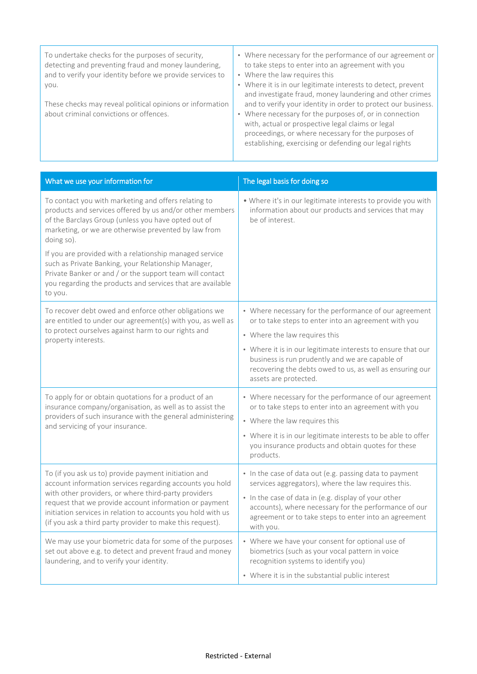| To undertake checks for the purposes of security,<br>detecting and preventing fraud and money laundering,<br>and to verify your identity before we provide services to<br>VOU. | • Where necessary for the performance of our agreement or<br>to take steps to enter into an agreement with you<br>• Where the law requires this<br>• Where it is in our legitimate interests to detect, prevent<br>and investigate fraud, money laundering and other crimes                    |
|--------------------------------------------------------------------------------------------------------------------------------------------------------------------------------|------------------------------------------------------------------------------------------------------------------------------------------------------------------------------------------------------------------------------------------------------------------------------------------------|
| These checks may reveal political opinions or information<br>about criminal convictions or offences.                                                                           | and to verify your identity in order to protect our business.<br>• Where necessary for the purposes of, or in connection<br>with, actual or prospective legal claims or legal<br>proceedings, or where necessary for the purposes of<br>establishing, exercising or defending our legal rights |

| What we use your information for                                                                                                                                                                                                                                                                                                                                                                                                                                                                     | The legal basis for doing so                                                                                                                                                                                                                                                                                                                            |
|------------------------------------------------------------------------------------------------------------------------------------------------------------------------------------------------------------------------------------------------------------------------------------------------------------------------------------------------------------------------------------------------------------------------------------------------------------------------------------------------------|---------------------------------------------------------------------------------------------------------------------------------------------------------------------------------------------------------------------------------------------------------------------------------------------------------------------------------------------------------|
| To contact you with marketing and offers relating to<br>products and services offered by us and/or other members<br>of the Barclays Group (unless you have opted out of<br>marketing, or we are otherwise prevented by law from<br>doing so).<br>If you are provided with a relationship managed service<br>such as Private Banking, your Relationship Manager,<br>Private Banker or and / or the support team will contact<br>you regarding the products and services that are available<br>to you. | . Where it's in our legitimate interests to provide you with<br>information about our products and services that may<br>be of interest.                                                                                                                                                                                                                 |
| To recover debt owed and enforce other obligations we<br>are entitled to under our agreement(s) with you, as well as<br>to protect ourselves against harm to our rights and<br>property interests.                                                                                                                                                                                                                                                                                                   | • Where necessary for the performance of our agreement<br>or to take steps to enter into an agreement with you<br>• Where the law requires this<br>• Where it is in our legitimate interests to ensure that our<br>business is run prudently and we are capable of<br>recovering the debts owed to us, as well as ensuring our<br>assets are protected. |
| To apply for or obtain quotations for a product of an<br>insurance company/organisation, as well as to assist the<br>providers of such insurance with the general administering<br>and servicing of your insurance.                                                                                                                                                                                                                                                                                  | • Where necessary for the performance of our agreement<br>or to take steps to enter into an agreement with you<br>• Where the law requires this<br>• Where it is in our legitimate interests to be able to offer<br>you insurance products and obtain quotes for these<br>products.                                                                     |
| To (if you ask us to) provide payment initiation and<br>account information services regarding accounts you hold<br>with other providers, or where third-party providers<br>request that we provide account information or payment<br>initiation services in relation to accounts you hold with us<br>(if you ask a third party provider to make this request).                                                                                                                                      | • In the case of data out (e.g. passing data to payment<br>services aggregators), where the law requires this.<br>• In the case of data in (e.g. display of your other<br>accounts), where necessary for the performance of our<br>agreement or to take steps to enter into an agreement<br>with you.                                                   |
| We may use your biometric data for some of the purposes<br>set out above e.g. to detect and prevent fraud and money<br>laundering, and to verify your identity.                                                                                                                                                                                                                                                                                                                                      | • Where we have your consent for optional use of<br>biometrics (such as your vocal pattern in voice<br>recognition systems to identify you)<br>• Where it is in the substantial public interest                                                                                                                                                         |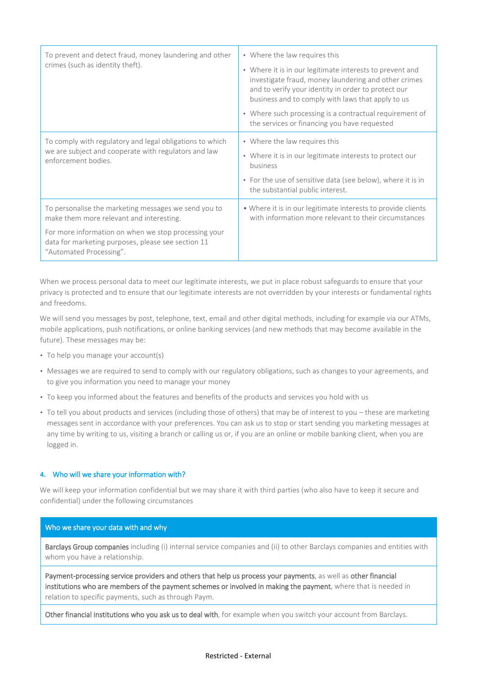| To prevent and detect fraud, money laundering and other<br>crimes (such as identity theft).                                                                                                                                               | • Where the law requires this<br>• Where it is in our legitimate interests to prevent and<br>investigate fraud, money laundering and other crimes<br>and to verify your identity in order to protect our<br>business and to comply with laws that apply to us<br>• Where such processing is a contractual requirement of<br>the services or financing you have requested |
|-------------------------------------------------------------------------------------------------------------------------------------------------------------------------------------------------------------------------------------------|--------------------------------------------------------------------------------------------------------------------------------------------------------------------------------------------------------------------------------------------------------------------------------------------------------------------------------------------------------------------------|
| To comply with regulatory and legal obligations to which<br>we are subject and cooperate with regulators and law<br>enforcement bodies.                                                                                                   | • Where the law requires this<br>• Where it is in our legitimate interests to protect our<br>business<br>• For the use of sensitive data (see below), where it is in<br>the substantial public interest.                                                                                                                                                                 |
| To personalise the marketing messages we send you to<br>make them more relevant and interesting.<br>For more information on when we stop processing your<br>data for marketing purposes, please see section 11<br>"Automated Processing". | • Where it is in our legitimate interests to provide clients<br>with information more relevant to their circumstances                                                                                                                                                                                                                                                    |

When we process personal data to meet our legitimate interests, we put in place robust safeguards to ensure that your privacy is protected and to ensure that our legitimate interests are not overridden by your interests or fundamental rights and freedoms.

We will send you messages by post, telephone, text, email and other digital methods, including for example via our ATMs, mobile applications, push notifications, or online banking services (and new methods that may become available in the future). These messages may be:

- To help you manage your account(s)
- Messages we are required to send to comply with our regulatory obligations, such as changes to your agreements, and to give you information you need to manage your money
- To keep you informed about the features and benefits of the products and services you hold with us
- To tell you about products and services (including those of others) that may be of interest to you these are marketing messages sent in accordance with your preferences. You can ask us to stop or start sending you marketing messages at any time by writing to us, visiting a branch or calling us or, if you are an online or mobile banking client, when you are logged in.

#### **4.** Who will we share your information with?

We will keep your information confidential but we may share it with third parties (who also have to keep it secure and confidential) under the following circumstances

## Who we share your data with and why

Barclays Group companies including (i) internal service companies and (ii) to other Barclays companies and entities with whom you have a relationship.

Payment-processing service providers and others that help us process your payments, as well as other financial institutions who are members of the payment schemes or involved in making the payment, where that is needed in relation to specific payments, such as through Paym.

Other financial institutions who you ask us to deal with, for example when you switch your account from Barclays.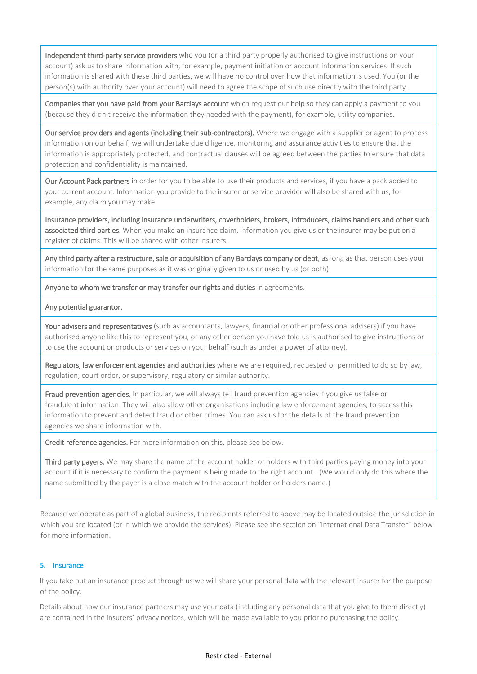Independent third-party service providers who you (or a third party properly authorised to give instructions on your account) ask us to share information with, for example, payment initiation or account information services. If such information is shared with these third parties, we will have no control over how that information is used. You (or the person(s) with authority over your account) will need to agree the scope of such use directly with the third party.

Companies that you have paid from your Barclays account which request our help so they can apply a payment to you (because they didn't receive the information they needed with the payment), for example, utility companies.

Our service providers and agents (including their sub-contractors). Where we engage with a supplier or agent to process information on our behalf, we will undertake due diligence, monitoring and assurance activities to ensure that the information is appropriately protected, and contractual clauses will be agreed between the parties to ensure that data protection and confidentiality is maintained.

Our Account Pack partners in order for you to be able to use their products and services, if you have a pack added to your current account. Information you provide to the insurer or service provider will also be shared with us, for example, any claim you may make

Insurance providers, including insurance underwriters, coverholders, brokers, introducers, claims handlers and other such associated third parties. When you make an insurance claim, information you give us or the insurer may be put on a register of claims. This will be shared with other insurers.

Any third party after a restructure, sale or acquisition of any Barclays company or debt, as long as that person uses your information for the same purposes as it was originally given to us or used by us (or both).

Anyone to whom we transfer or may transfer our rights and duties in agreements.

#### Any potential guarantor.

Your advisers and representatives (such as accountants, lawyers, financial or other professional advisers) if you have authorised anyone like this to represent you, or any other person you have told us is authorised to give instructions or to use the account or products or services on your behalf (such as under a power of attorney).

Regulators, law enforcement agencies and authorities where we are required, requested or permitted to do so by law, regulation, court order, or supervisory, regulatory or similar authority.

Fraud prevention agencies. In particular, we will always tell fraud prevention agencies if you give us false or fraudulent information. They will also allow other organisations including law enforcement agencies, to access this information to prevent and detect fraud or other crimes. You can ask us for the details of the fraud prevention agencies we share information with.

Credit reference agencies. For more information on this, please see below.

Third party payers. We may share the name of the account holder or holders with third parties paying money into your account if it is necessary to confirm the payment is being made to the right account. (We would only do this where the name submitted by the payer is a close match with the account holder or holders name.)

Because we operate as part of a global business, the recipients referred to above may be located outside the jurisdiction in which you are located (or in which we provide the services). Please see the section on "International Data Transfer" below for more information.

## **5.** Insurance

If you take out an insurance product through us we will share your personal data with the relevant insurer for the purpose of the policy.

Details about how our insurance partners may use your data (including any personal data that you give to them directly) are contained in the insurers' privacy notices, which will be made available to you prior to purchasing the policy.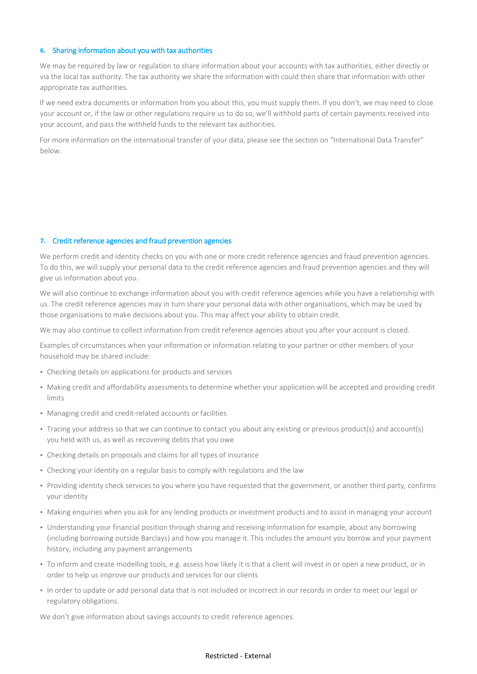#### **6.** Sharing information about you with tax authorities

We may be required by law or regulation to share information about your accounts with tax authorities, either directly or via the local tax authority. The tax authority we share the information with could then share that information with other appropriate tax authorities.

If we need extra documents or information from you about this, you must supply them. If you don't, we may need to close your account or, if the law or other regulations require us to do so, we'll withhold parts of certain payments received into your account, and pass the withheld funds to the relevant tax authorities.

For more information on the international transfer of your data, please see the section on "International Data Transfer" below.

#### **7.** Credit reference agencies and fraud prevention agencies

We perform credit and identity checks on you with one or more credit reference agencies and fraud prevention agencies. To do this, we will supply your personal data to the credit reference agencies and fraud prevention agencies and they will give us information about you.

We will also continue to exchange information about you with credit reference agencies while you have a relationship with us. The credit reference agencies may in turn share your personal data with other organisations, which may be used by those organisations to make decisions about you. This may affect your ability to obtain credit.

We may also continue to collect information from credit reference agencies about you after your account is closed.

Examples of circumstances when your information or information relating to your partner or other members of your household may be shared include:

- Checking details on applications for products and services
- Making credit and affordability assessments to determine whether your application will be accepted and providing credit limits
- Managing credit and credit-related accounts or facilities
- Tracing your address so that we can continue to contact you about any existing or previous product(s) and account(s) you held with us, as well as recovering debts that you owe
- Checking details on proposals and claims for all types of insurance
- Checking your identity on a regular basis to comply with regulations and the law
- Providing identity check services to you where you have requested that the government, or another third party, confirms your identity
- Making enquiries when you ask for any lending products or investment products and to assist in managing your account
- Understanding your financial position through sharing and receiving information for example, about any borrowing (including borrowing outside Barclays) and how you manage it. This includes the amount you borrow and your payment history, including any payment arrangements
- To inform and create modelling tools, e.g. assess how likely it is that a client will invest in or open a new product, or in order to help us improve our products and services for our clients
- In order to update or add personal data that is not included or incorrect in our records in order to meet our legal or regulatory obligations.

We don't give information about savings accounts to credit reference agencies.

#### Restricted - External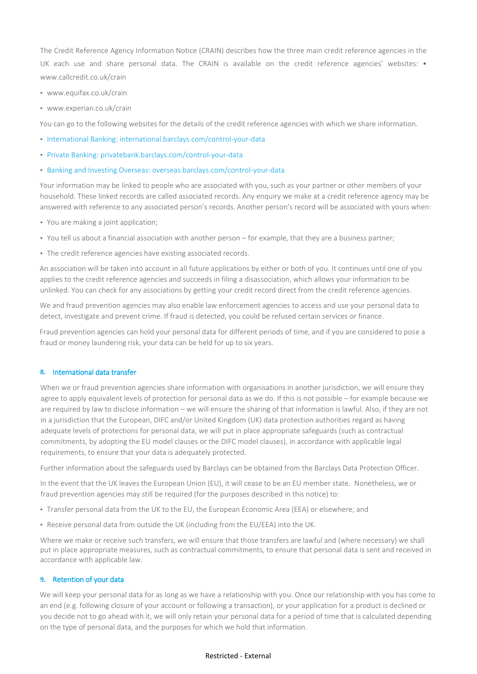The Credit Reference Agency Information Notice (CRAIN) describes how the three main credit reference agencies in the UK each use and share personal data. The CRAIN is available on the credit reference agencies' websites: • [www.callcredit.co.uk/crain](http://www.callcredit.co.uk/crain)

- [www.equifax.co.uk/crain](http://www.equifax.co.uk/crain)
- [www.experian.co.uk/crain](http://www.experian.co.uk/crain)

You can go to the following websites for the details of the credit reference agencies with which we share information.

- [International Banking: international.barclays.com/control-your-data](http://international.barclays.com/control-your-data)
- [Private Banking: privatebank.barclays.com/control-your-data](http://privatebank.barclays.com/control-your-data)
- [Banking and Investing Overseas: overseas.barclays.com/control-your-data](http://overseas.barclays.com/control-your-data)

Your information may be linked to people who are associated with you, such as your partner or other members of your household. These linked records are called associated records. Any enquiry we make at a credit reference agency may be answered with reference to any associated person's records. Another person's record will be associated with yours when:

- You are making a joint application;
- You tell us about a financial association with another person for example, that they are a business partner;
- The credit reference agencies have existing associated records.

An association will be taken into account in all future applications by either or both of you. It continues until one of you applies to the credit reference agencies and succeeds in filing a disassociation, which allows your information to be unlinked. You can check for any associations by getting your credit record direct from the credit reference agencies.

We and fraud prevention agencies may also enable law enforcement agencies to access and use your personal data to detect, investigate and prevent crime. If fraud is detected, you could be refused certain services or finance.

Fraud prevention agencies can hold your personal data for different periods of time, and if you are considered to pose a fraud or money laundering risk, your data can be held for up to six years.

## **8.** International data transfer

When we or fraud prevention agencies share information with organisations in another jurisdiction, we will ensure they agree to apply equivalent levels of protection for personal data as we do. If this is not possible – for example because we are required by law to disclose information – we will ensure the sharing of that information is lawful. Also, if they are not in a jurisdiction that the European, DIFC and/or United Kingdom (UK) data protection authorities regard as having adequate levels of protections for personal data, we will put in place appropriate safeguards (such as contractual commitments, by adopting the EU model clauses or the DIFC model clauses), in accordance with applicable legal requirements, to ensure that your data is adequately protected.

Further information about the safeguards used by Barclays can be obtained from the Barclays Data Protection Officer.

In the event that the UK leaves the European Union (EU), it will cease to be an EU member state. Nonetheless, we or fraud prevention agencies may still be required (for the purposes described in this notice) to:

- Transfer personal data from the UK to the EU, the European Economic Area (EEA) or elsewhere; and
- Receive personal data from outside the UK (including from the EU/EEA) into the UK.

Where we make or receive such transfers, we will ensure that those transfers are lawful and (where necessary) we shall put in place appropriate measures, such as contractual commitments, to ensure that personal data is sent and received in accordance with applicable law.

#### **9.** Retention of your data

We will keep your personal data for as long as we have a relationship with you. Once our relationship with you has come to an end (e.g. following closure of your account or following a transaction), or your application for a product is declined or you decide not to go ahead with it, we will only retain your personal data for a period of time that is calculated depending on the type of personal data, and the purposes for which we hold that information.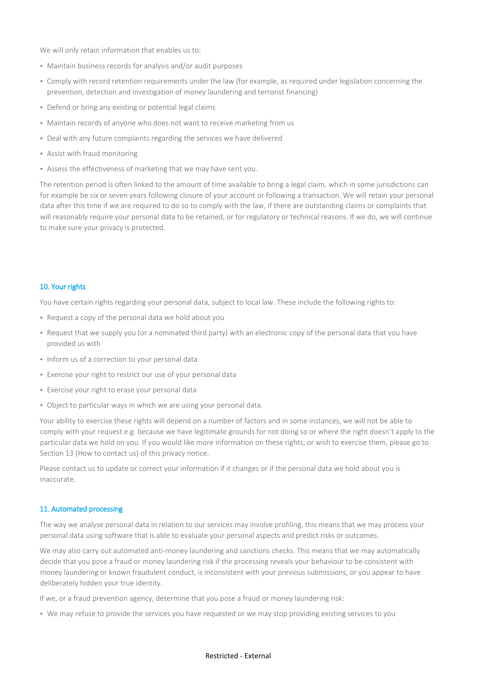We will only retain information that enables us to:

- Maintain business records for analysis and/or audit purposes
- Comply with record retention requirements under the law (for example, as required under legislation concerning the prevention, detection and investigation of money laundering and terrorist financing)
- Defend or bring any existing or potential legal claims
- Maintain records of anyone who does not want to receive marketing from us
- Deal with any future complaints regarding the services we have delivered
- Assist with fraud monitoring
- Assess the effectiveness of marketing that we may have sent you.

The retention period is often linked to the amount of time available to bring a legal claim, which in some jurisdictions can for example be six or seven years following closure of your account or following a transaction. We will retain your personal data after this time if we are required to do so to comply with the law, if there are outstanding claims or complaints that will reasonably require your personal data to be retained, or for regulatory or technical reasons. If we do, we will continue to make sure your privacy is protected.

## 10. Your rights

You have certain rights regarding your personal data, subject to local law. These include the following rights to:

- Request a copy of the personal data we hold about you
- Request that we supply you (or a nominated third party) with an electronic copy of the personal data that you have provided us with
- Inform us of a correction to your personal data
- Exercise your right to restrict our use of your personal data
- Exercise your right to erase your personal data
- Object to particular ways in which we are using your personal data.

Your ability to exercise these rights will depend on a number of factors and in some instances, we will not be able to comply with your request e.g. because we have legitimate grounds for not doing so or where the right doesn't apply to the particular data we hold on you. If you would like more information on these rights, or wish to exercise them, please go to Section 13 (How to contact us) of this privacy notice.

Please contact us to update or correct your information if it changes or if the personal data we hold about you is inaccurate.

## 11. Automated processing

The way we analyse personal data in relation to our services may involve profiling, this means that we may process your personal data using software that is able to evaluate your personal aspects and predict risks or outcomes.

We may also carry out automated anti-money laundering and sanctions checks. This means that we may automatically decide that you pose a fraud or money laundering risk if the processing reveals your behaviour to be consistent with money laundering or known fraudulent conduct, is inconsistent with your previous submissions, or you appear to have deliberately hidden your true identity.

If we, or a fraud prevention agency, determine that you pose a fraud or money laundering risk:

• We may refuse to provide the services you have requested or we may stop providing existing services to you

#### Restricted - External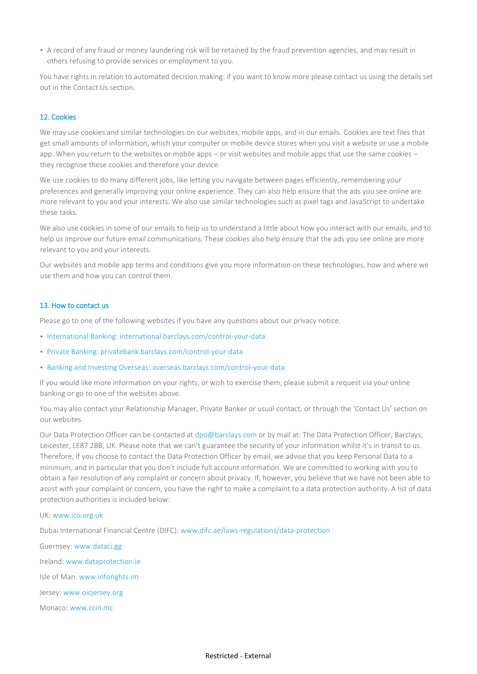• A record of any fraud or money laundering risk will be retained by the fraud prevention agencies, and may result in others refusing to provide services or employment to you.

You have rights in relation to automated decision making: if you want to know more please contact us using the details set out in the Contact Us section.

# 12. Cookies

We may use cookies and similar technologies on our websites, mobile apps, and in our emails. Cookies are text files that get small amounts of information, which your computer or mobile device stores when you visit a website or use a mobile app. When you return to the websites or mobile apps – or visit websites and mobile apps that use the same cookies – they recognise these cookies and therefore your device.

We use cookies to do many different jobs, like letting you navigate between pages efficiently, remembering your preferences and generally improving your online experience. They can also help ensure that the ads you see online are more relevant to you and your interests. We also use similar technologies such as pixel tags and JavaScript to undertake these tasks.

We also use cookies in some of our emails to help us to understand a little about how you interact with our emails, and to help us improve our future email communications. These cookies also help ensure that the ads you see online are more relevant to you and your interests.

Our websites and mobile app terms and conditions give you more information on these technologies, how and where we use them and how you can control them.

#### 13. How to contact us

Please go to one of the following websites if you have any questions about our privacy notice.

- [International Banking: international.barclays.com/control-your-data](http://international.barclays.com/control-your-data)
- [Private Banking: privatebank.barclays.com/control-your-data](http://privatebank.barclays.com/control-your-data)
- [Banking and Investing Overseas: overseas.barclays.com/control-your-data](http://overseas.barclays.com/control-your-data)

If you would like more information on your rights, or wish to exercise them, please submit a request via your online banking or go to one of the websites above.

You may also contact your Relationship Manager, Private Banker or usual contact, or through the 'Contact Us' section on our websites.

Our Data Protection Officer can be contacted at dpo@barclays.com or by mail at: The Data Protection Officer, Barclays, Leicester, LE87 2BB, UK. Please note that we can't guarantee the security of your information whilst it's in transit to us. Therefore, if you choose to contact the Data Protection Officer by email, we advise that you keep Personal Data to a minimum, and in particular that you don't include full account information. We are committed to working with you to obtain a fair resolution of any complaint or concern about privacy. If, however, you believe that we have not been able to assist with your complaint or concern, you have the right to make a complaint to a data protection authority. A list of data protection authorities is included below:

#### UK[: www.ico.org.uk](http://www.ico.org.uk/)

Dubai International Financial Centre (DIFC): [www.difc.ae/laws-regulations/data-protection](http://www.difc.ae/laws-regulations/data-protection)

Guernsey[: www.dataci.gg](http://www.dataci.gg/) Ireland[: www.dataprotection.ie](http://www.dataprotection.ie/) Isle of Man: [www.inforights.im](http://www.inforights.im/) Jersey: [www.oicjersey.org](http://www.oicjersey.org/) Monaco: [www.ccin.mc](http://www.ccin.mc/)